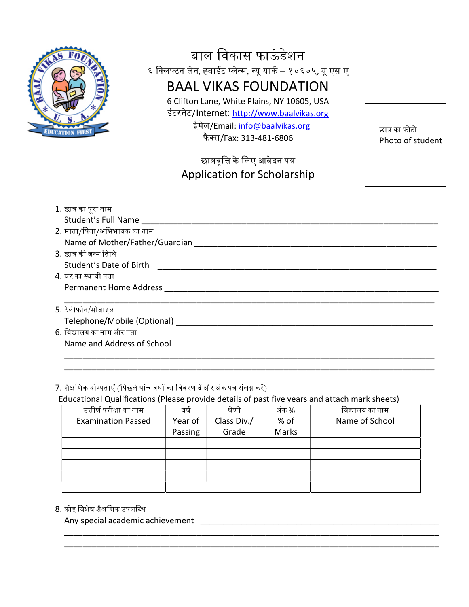

### बाल विकास फाऊंडेशन ६ क्लिफ्टन लेन, ह्वाईट प्लेन्स, न्यू यार्क – १०६०५, यू एस ए BAAL VIKAS FOUNDATION

6 Clifton Lane, White Plains, NY 10605, USA इंटरनेट/Internet: http://www.baalvikas.org ईमेल/Email: info@baalvikas.org फैस/Fax: 313-481-6806

छात्रवृत्ति के लिए आवेदन पत्र Application for Scholarship छात्र का फोटो Photo of student

| 1. छात्र का पूरा नाम           |
|--------------------------------|
| Student's Full Name            |
| 2. माता/पिता/अभिभावक का नाम    |
| Name of Mother/Father/Guardian |
| 3. छात्र की जन्म तिथि          |
| Student's Date of Birth        |
| 4. घर का स्थायी पता            |
| Permanent Home Address         |
| 5. टेलीफोन/मोबाइल              |
| Telephone/Mobile (Optional)    |
| 6. विद्यालय का नाम और पता      |
| Name and Address of School     |
|                                |

\_\_\_\_\_\_\_\_\_\_\_\_\_\_\_\_\_\_\_\_\_\_\_\_\_\_\_\_\_\_\_\_\_\_\_\_\_\_\_\_\_\_\_\_\_\_\_\_\_\_\_\_\_\_\_\_\_\_\_\_\_\_\_\_\_\_\_\_\_\_\_\_\_\_\_\_\_\_\_\_\_

### 7. शैक्षणिक योग्यताएँ (पिछले पांच वर्षो का विवरण दें और अंक पत्र संलग्न करें)

Educational Qualifications (Please provide details of past five years and attach mark sheets)

| वर्ष    | श्रेणी      | अंक % | विद्यालय का नाम |
|---------|-------------|-------|-----------------|
| Year of | Class Div./ | % of  | Name of School  |
| Passing | Grade       | Marks |                 |
|         |             |       |                 |
|         |             |       |                 |
|         |             |       |                 |
|         |             |       |                 |
|         |             |       |                 |
|         |             |       |                 |

\_\_\_\_\_\_\_\_\_\_\_\_\_\_\_\_\_\_\_\_\_\_\_\_\_\_\_\_\_\_\_\_\_\_\_\_\_\_\_\_\_\_\_\_\_\_\_\_\_\_\_\_\_\_\_\_\_\_\_\_\_\_\_\_\_\_\_\_\_\_\_\_\_\_\_\_\_\_\_\_\_\_ \_\_\_\_\_\_\_\_\_\_\_\_\_\_\_\_\_\_\_\_\_\_\_\_\_\_\_\_\_\_\_\_\_\_\_\_\_\_\_\_\_\_\_\_\_\_\_\_\_\_\_\_\_\_\_\_\_\_\_\_\_\_\_\_\_\_\_\_\_\_\_\_\_\_\_\_\_\_\_\_\_\_

#### 8. कोइ िवशेष शैᭃिणक उपलि᭣ध

Any special academic achievement **Any special** academic achievement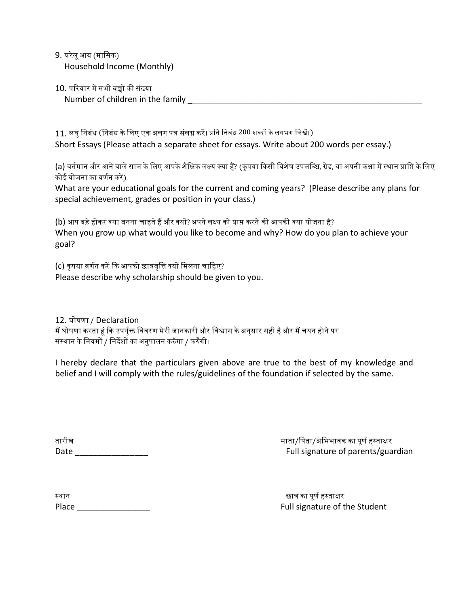9. घरेलूआय (मािसक) Household Income (Monthly) \_\_\_\_\_\_\_\_\_\_\_\_\_\_\_\_\_\_\_\_\_\_\_\_\_\_\_\_\_\_\_\_\_\_\_\_\_\_\_\_\_\_\_\_\_\_\_\_\_\_\_\_\_

10. परिवार में सभी बच्चों की संख्या Number of children in the family \_\_\_\_\_\_\_\_\_\_\_\_\_\_\_\_\_\_\_\_\_\_\_\_\_\_\_\_\_\_\_\_\_\_\_\_\_\_\_\_\_\_\_\_\_\_\_\_\_\_\_

11. लघु निबंध (निबंध के लिए एक अलग पत्र संलग्न करें। प्रति निबंध 200 शब्दों के लगभग लिखें।) Short Essays (Please attach a separate sheet for essays. Write about 200 words per essay.)

(a) वर्तमान और आने वाले साल के लिए आपके शैक्षिक लक्ष्य क्या हैं? (कृपया किसी विशेष उपलब्धि, ग्रेड, या अपनी कक्षा में स्थान प्राप्ति के लिए कोई योजना का वर्णन करें)

What are your educational goals for the current and coming years? (Please describe any plans for special achievement, grades or position in your class.)

(b) आप बड़े होकर क्या बनना चाहते हैं और क्यों? अपने लक्ष्य को प्राप्त करने की आपकी क्या योजना है? When you grow up what would you like to become and why? How do you plan to achieve your goal?

(c) कृपया वर्णन करें कि आपको छात्रवृत्ति क्यों मिलना चाहिए? Please describe why scholarship should be given to you.

12. घोषणा / Declaration मैं घोषणा करता हूं कि उपर्युक्त विवरण मेरी जानकारी और विश्वास के अनुसार सही है और मैं चयन होने पर संस्थान के नियमों / निर्देशों का अनुपालन करुँगा / करुँगी।

I hereby declare that the particulars given above are true to the best of my knowledge and belief and I will comply with the rules/guidelines of the foundation if selected by the same.

तारीख माता/पिता/अभिभावक का पूर्ण हस्ताक्षर Date **Date Date Example 2 Contract a Contract Contract Contract Contract Contract Contract Contract Contract Contract Contract Contract Contract Contract Contract Contract Contract Contract Contract Contract Contract** 

| स्थान |  |  |  |
|-------|--|--|--|
| Place |  |  |  |

छात्र का पूर्ण हस्ताक्षर Full signature of the Student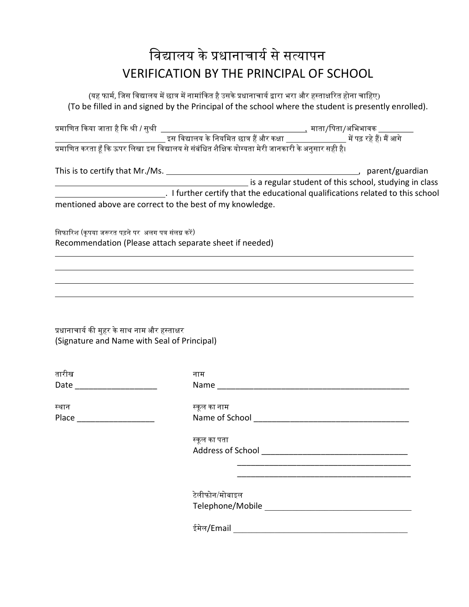## विद्यालय के प्रधानाचार्य से सत्यापन VERIFICATION BY THE PRINCIPAL OF SCHOOL

(यह फार्म, जिस विद्यालय में छात्र में नामांकित है उसके प्रधानाचार्य द्वारा भरा और हस्ताक्षरित होना चाहिए) (To be filled in and signed by the Principal of the school where the student is presently enrolled).

|                                                                                             |                | is a regular student of this school, studying in class                                                                   |
|---------------------------------------------------------------------------------------------|----------------|--------------------------------------------------------------------------------------------------------------------------|
|                                                                                             |                | Let the educational qualifications related to this school (1) and the reducational qualifications related to this school |
| mentioned above are correct to the best of my knowledge.                                    |                |                                                                                                                          |
| सिफारिश (कृपया जरूरत पड़ने पर अलग पत्र संलग्न करें)                                         |                |                                                                                                                          |
| Recommendation (Please attach separate sheet if needed)                                     |                |                                                                                                                          |
|                                                                                             |                |                                                                                                                          |
|                                                                                             |                |                                                                                                                          |
|                                                                                             |                |                                                                                                                          |
|                                                                                             |                |                                                                                                                          |
| प्रधानाचार्य की मुहर के साथ नाम और हस्ताक्षर<br>(Signature and Name with Seal of Principal) |                |                                                                                                                          |
|                                                                                             |                |                                                                                                                          |
| तारीख                                                                                       |                |                                                                                                                          |
| Date ________________________                                                               | नाम            |                                                                                                                          |
|                                                                                             |                |                                                                                                                          |
| स्थान                                                                                       | स्कूल का नाम   |                                                                                                                          |
|                                                                                             |                |                                                                                                                          |
|                                                                                             | स्कूल का पता   |                                                                                                                          |
|                                                                                             |                |                                                                                                                          |
|                                                                                             |                |                                                                                                                          |
|                                                                                             | टेलीफोन/मोबाइल |                                                                                                                          |
|                                                                                             |                |                                                                                                                          |
|                                                                                             | ईमेल/Email     |                                                                                                                          |